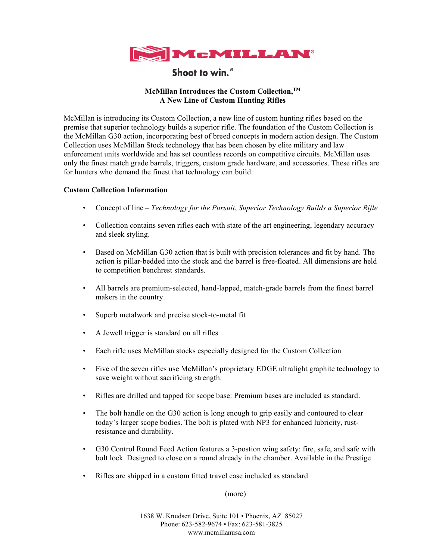

Shoot to win.<sup>®</sup>

# **McMillan Introduces the Custom Collection,TM A New Line of Custom Hunting Rifles**

McMillan is introducing its Custom Collection, a new line of custom hunting rifles based on the premise that superior technology builds a superior rifle. The foundation of the Custom Collection is the McMillan G30 action, incorporating best of breed concepts in modern action design. The Custom Collection uses McMillan Stock technology that has been chosen by elite military and law enforcement units worldwide and has set countless records on competitive circuits. McMillan uses only the finest match grade barrels, triggers, custom grade hardware, and accessories. These rifles are for hunters who demand the finest that technology can build.

## **Custom Collection Information**

- Concept of line *Technology for the Pursuit*, *Superior Technology Builds a Superior Rifle*
- Collection contains seven rifles each with state of the art engineering, legendary accuracy and sleek styling.
- Based on McMillan G30 action that is built with precision tolerances and fit by hand. The action is pillar-bedded into the stock and the barrel is free-floated. All dimensions are held to competition benchrest standards.
- All barrels are premium-selected, hand-lapped, match-grade barrels from the finest barrel makers in the country.
- Superb metalwork and precise stock-to-metal fit
- A Jewell trigger is standard on all rifles
- Each rifle uses McMillan stocks especially designed for the Custom Collection
- Five of the seven rifles use McMillan's proprietary EDGE ultralight graphite technology to save weight without sacrificing strength.
- Rifles are drilled and tapped for scope base: Premium bases are included as standard.
- The bolt handle on the G30 action is long enough to grip easily and contoured to clear today's larger scope bodies. The bolt is plated with NP3 for enhanced lubricity, rustresistance and durability.
- G30 Control Round Feed Action features a 3-postion wing safety: fire, safe, and safe with bolt lock. Designed to close on a round already in the chamber. Available in the Prestige
- Rifles are shipped in a custom fitted travel case included as standard

(more)

1638 W. Knudsen Drive, Suite 101 • Phoenix, AZ 85027 Phone: 623-582-9674 • Fax: 623-581-3825 www.mcmillanusa.com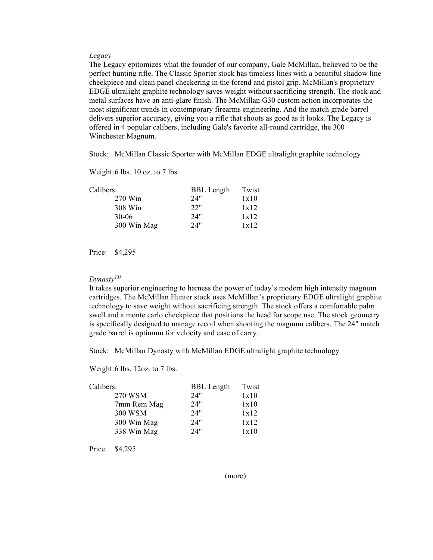## *Legacy*

The Legacy epitomizes what the founder of our company, Gale McMillan, believed to be the perfect hunting rifle. The Classic Sporter stock has timeless lines with a beautiful shadow line cheekpiece and clean panel checkering in the forend and pistol grip. McMillan's proprietary EDGE ultralight graphite technology saves weight without sacrificing strength. The stock and metal surfaces have an anti-glare finish. The McMillan G30 custom action incorporates the most significant trends in contemporary firearms engineering. And the match grade barrel delivers superior accuracy, giving you a rifle that shoots as good as it looks. The Legacy is offered in 4 popular calibers, including Gale's favorite all-round cartridge, the 300 Winchester Magnum.

Stock: McMillan Classic Sporter with McMillan EDGE ultralight graphite technology

Weight:6 lbs. 10 oz. to 7 lbs.

| <b>BBL</b> Length | Twist |
|-------------------|-------|
| 24"               | 1x10  |
| 22"               | 1x12  |
| 24"               | 1x12  |
| 24"               | 1x12  |
|                   |       |

Price: \$4,295

#### *DynastyTM*

It takes superior engineering to harness the power of today's modern high intensity magnum cartridges. The McMillan Hunter stock uses McMillan's proprietary EDGE ultralight graphite technology to save weight without sacrificing strength. The stock offers a comfortable palm swell and a monte carlo cheekpiece that positions the head for scope use. The stock geometry is specifically designed to manage recoil when shooting the magnum calibers. The 24" match grade barrel is optimum for velocity and ease of carry.

Stock: McMillan Dynasty with McMillan EDGE ultralight graphite technology

Weight:6 lbs. 12oz. to 7 lbs.

| Calibers:   | <b>BBL</b> Length | Twist |
|-------------|-------------------|-------|
| 270 WSM     | 24"               | 1x10  |
| 7mm Rem Mag | 24"               | 1x10  |
| 300 WSM     | 24"               | 1x12  |
| 300 Win Mag | 24"               | 1x12  |
| 338 Win Mag | 24"               | 1x10  |

Price: \$4,295

(more)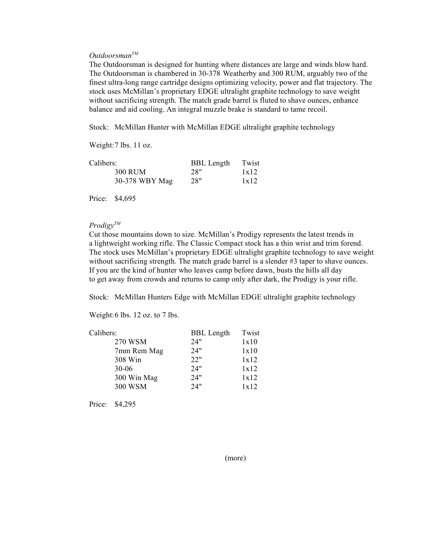## *OutdoorsmanTM*

The Outdoorsman is designed for hunting where distances are large and winds blow hard. The Outdoorsman is chambered in 30-378 Weatherby and 300 RUM, arguably two of the finest ultra-long range cartridge designs optimizing velocity, power and flat trajectory. The stock uses McMillan's proprietary EDGE ultralight graphite technology to save weight without sacrificing strength. The match grade barrel is fluted to shave ounces, enhance balance and aid cooling. An integral muzzle brake is standard to tame recoil.

Stock: McMillan Hunter with McMillan EDGE ultralight graphite technology

Weight:7 lbs. 11 oz.

| Calibers:      | <b>BBL</b> Length | Twist |
|----------------|-------------------|-------|
| 300 RUM        | 28"               | 1x12  |
| 30-378 WBY Mag | 28"               | 1x12  |

Price: \$4,695

### *ProdigyTM*

Cut those mountains down to size. McMillan's Prodigy represents the latest trends in a lightweight working rifle. The Classic Compact stock has a thin wrist and trim forend. The stock uses McMillan's proprietary EDGE ultralight graphite technology to save weight without sacrificing strength. The match grade barrel is a slender #3 taper to shave ounces. If you are the kind of hunter who leaves camp before dawn, busts the hills all day to get away from crowds and returns to camp only after dark, the Prodigy is your rifle.

Stock: McMillan Hunters Edge with McMillan EDGE ultralight graphite technology

Weight:6 lbs. 12 oz. to 7 lbs.

| Calibers:   | <b>BBL</b> Length | Twist |
|-------------|-------------------|-------|
| 270 WSM     | 24"               | 1x10  |
| 7mm Rem Mag | 24"               | 1x10  |
| 308 Win     | 22"               | 1x12  |
| $30 - 06$   | 24"               | 1x12  |
| 300 Win Mag | 24"               | 1x12  |
| 300 WSM     | 24"               | 1x12  |

Price: \$4,295

(more)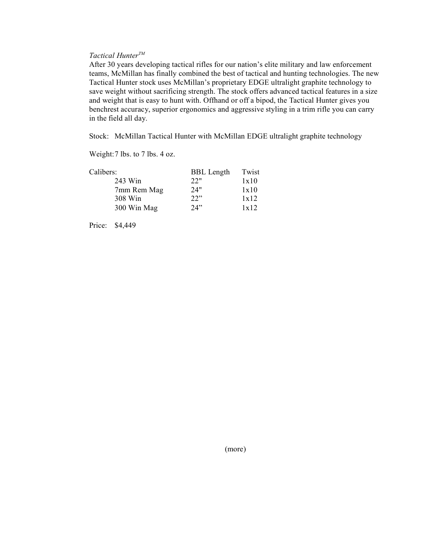# *Tactical HunterTM*

After 30 years developing tactical rifles for our nation's elite military and law enforcement teams, McMillan has finally combined the best of tactical and hunting technologies. The new Tactical Hunter stock uses McMillan's proprietary EDGE ultralight graphite technology to save weight without sacrificing strength. The stock offers advanced tactical features in a size and weight that is easy to hunt with. Offhand or off a bipod, the Tactical Hunter gives you benchrest accuracy, superior ergonomics and aggressive styling in a trim rifle you can carry in the field all day.

Stock: McMillan Tactical Hunter with McMillan EDGE ultralight graphite technology

Weight:7 lbs. to 7 lbs. 4 oz.

| Calibers:   | <b>BBL</b> Length | Twist |
|-------------|-------------------|-------|
| 243 Win     | 22"               | 1x10  |
| 7mm Rem Mag | 24"               | 1x10  |
| 308 Win     | 22"               | 1x12  |
| 300 Win Mag | 24"               | 1x12  |

Price: \$4,449

(more)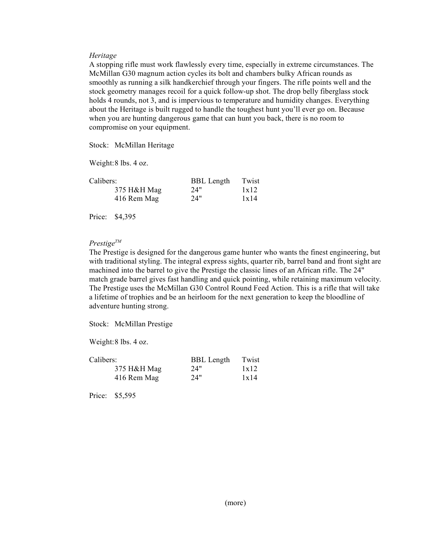## *Heritage*

A stopping rifle must work flawlessly every time, especially in extreme circumstances. The McMillan G30 magnum action cycles its bolt and chambers bulky African rounds as smoothly as running a silk handkerchief through your fingers. The rifle points well and the stock geometry manages recoil for a quick follow-up shot. The drop belly fiberglass stock holds 4 rounds, not 3, and is impervious to temperature and humidity changes. Everything about the Heritage is built rugged to handle the toughest hunt you'll ever go on. Because when you are hunting dangerous game that can hunt you back, there is no room to compromise on your equipment.

Stock: McMillan Heritage

Weight:8 lbs. 4 oz.

| Calibers:   | <b>BBL</b> Length | Twist |
|-------------|-------------------|-------|
| 375 H&H Mag | 24"               | 1x12  |
| 416 Rem Mag | 24"               | 1x14  |

Price: \$4,395

## *PrestigeTM*

The Prestige is designed for the dangerous game hunter who wants the finest engineering, but with traditional styling. The integral express sights, quarter rib, barrel band and front sight are machined into the barrel to give the Prestige the classic lines of an African rifle. The 24" match grade barrel gives fast handling and quick pointing, while retaining maximum velocity. The Prestige uses the McMillan G30 Control Round Feed Action. This is a rifle that will take a lifetime of trophies and be an heirloom for the next generation to keep the bloodline of adventure hunting strong.

Stock: McMillan Prestige

Weight:8 lbs. 4 oz.

| Calibers:   | <b>BBL</b> Length | Twist |
|-------------|-------------------|-------|
| 375 H&H Mag | 24"               | 1x12  |
| 416 Rem Mag | 24"               | 1x14  |

Price: \$5,595